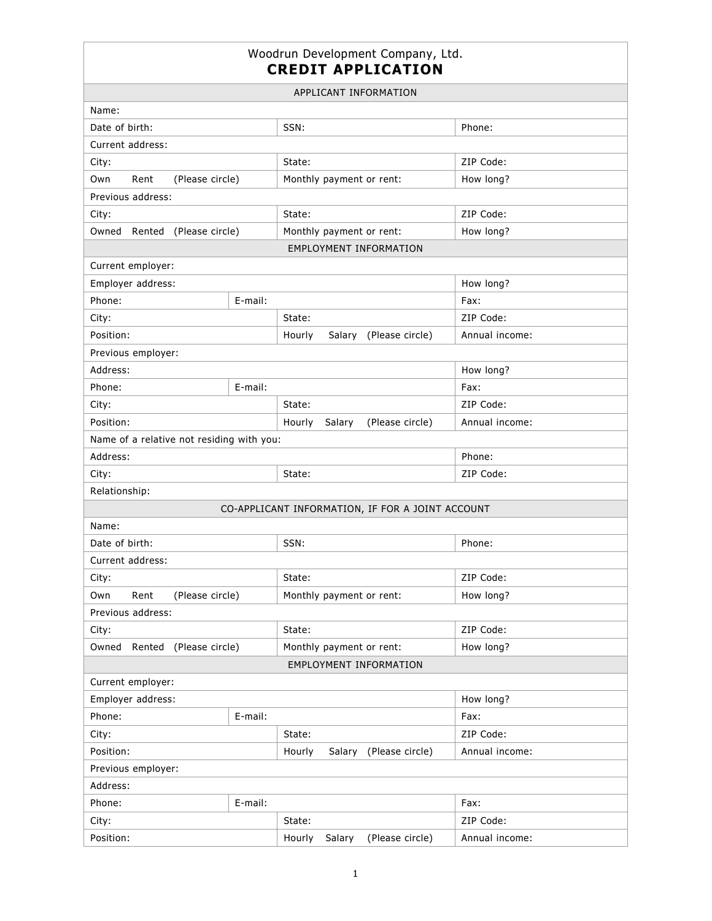## Woodrun Development Company, Ltd. **CREDIT APPLICATION**

| APPLICANT INFORMATION                            |         |                                       |                |  |  |  |
|--------------------------------------------------|---------|---------------------------------------|----------------|--|--|--|
| Name:                                            |         |                                       |                |  |  |  |
| Date of birth:                                   |         | SSN:                                  | Phone:         |  |  |  |
| Current address:                                 |         |                                       |                |  |  |  |
| City:                                            |         | State:                                | ZIP Code:      |  |  |  |
| Own<br>Rent<br>(Please circle)                   |         | Monthly payment or rent:              | How long?      |  |  |  |
| Previous address:                                |         |                                       |                |  |  |  |
| City:                                            |         | State:                                | ZIP Code:      |  |  |  |
| Owned Rented<br>(Please circle)                  |         | Monthly payment or rent:              | How long?      |  |  |  |
|                                                  |         | <b>EMPLOYMENT INFORMATION</b>         |                |  |  |  |
| Current employer:                                |         |                                       |                |  |  |  |
| Employer address:                                |         |                                       | How long?      |  |  |  |
| Phone:<br>E-mail:                                |         |                                       | Fax:           |  |  |  |
| City:                                            |         | State:                                | ZIP Code:      |  |  |  |
| Position:                                        |         | (Please circle)<br>Hourly<br>Salary   | Annual income: |  |  |  |
| Previous employer:                               |         |                                       |                |  |  |  |
| Address:                                         |         |                                       | How long?      |  |  |  |
| E-mail:<br>Phone:                                |         |                                       | Fax:           |  |  |  |
| City:                                            |         | State:                                | ZIP Code:      |  |  |  |
| Position:                                        |         | Hourly<br>(Please circle)<br>Salary   | Annual income: |  |  |  |
| Name of a relative not residing with you:        |         |                                       |                |  |  |  |
| Address:                                         |         |                                       | Phone:         |  |  |  |
| City:                                            |         | State:                                | ZIP Code:      |  |  |  |
| Relationship:                                    |         |                                       |                |  |  |  |
| CO-APPLICANT INFORMATION, IF FOR A JOINT ACCOUNT |         |                                       |                |  |  |  |
| Name:                                            |         |                                       |                |  |  |  |
| Date of birth:                                   |         | SSN:                                  | Phone:         |  |  |  |
| Current address:                                 |         |                                       |                |  |  |  |
| City:                                            |         | State:                                | ZIP Code:      |  |  |  |
| (Please circle)<br>Own<br>Rent                   |         | Monthly payment or rent:              | How long?      |  |  |  |
| Previous address:                                |         |                                       |                |  |  |  |
| City:                                            |         | State:                                | ZIP Code:      |  |  |  |
| (Please circle)<br>Owned Rented                  |         | How long?<br>Monthly payment or rent: |                |  |  |  |
| EMPLOYMENT INFORMATION                           |         |                                       |                |  |  |  |
| Current employer:                                |         |                                       |                |  |  |  |
| Employer address:                                |         |                                       | How long?      |  |  |  |
| E-mail:<br>Phone:                                |         |                                       | Fax:           |  |  |  |
| City:                                            |         | State:                                | ZIP Code:      |  |  |  |
| Position:                                        |         | Salary (Please circle)<br>Hourly      | Annual income: |  |  |  |
| Previous employer:                               |         |                                       |                |  |  |  |
| Address:                                         |         |                                       |                |  |  |  |
| Phone:                                           | E-mail: |                                       | Fax:           |  |  |  |
| City:                                            |         | State:                                | ZIP Code:      |  |  |  |
| Position:                                        |         | (Please circle)<br>Hourly<br>Salary   | Annual income: |  |  |  |